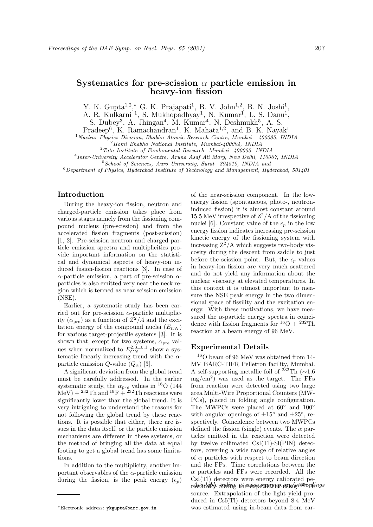# Systematics for pre-scission  $\alpha$  particle emission in heavy-ion fission

Y. K. Gupta<sup>1,2</sup>,\* G. K. Prajapati<sup>1</sup>, B. V. John<sup>1,2</sup>, B. N. Joshi<sup>1</sup>,

A. R. Kulkarni<sup>1</sup>, S. Mukhopadhyay<sup>1</sup>, N. Kumar<sup>1</sup>, L. S. Danu<sup>1</sup>,

S. Dubey<sup>3</sup>, A. Jhingan<sup>4</sup>, M. Kumar<sup>4</sup>, N. Deshmukh<sup>5</sup>, A. S.

Pradeep<sup>6</sup>, K. Ramachandran<sup>1</sup>, K. Mahata<sup>1,2</sup>, and B. K. Nayak<sup>1</sup>

<sup>1</sup>Nuclear Physics Division, Bhabha Atomic Research Centre, Mumbai - 400085, INDIA

 $^{2}$ Homi Bhabha National Institute, Mumbai- $\mu$ 00094, INDIA

<sup>3</sup>Tata Institute of Fundamental Research, Mumbai -400005, INDIA

4 Inter-University Accelerator Centre, Aruna Asaf Ali Marg, New Delhi, 110067, INDIA

<sup>5</sup> School of Sciences, Auro University, Surat 394510, INDIA and

 $6$ Department of Physics, Hyderabad Institute of Technology and Management, Hyderabad, 501401

# Introduction

During the heavy-ion fission, neutron and charged-particle emission takes place from various stages namely from the fissioning compound nucleus (pre-scission) and from the accelerated fission fragments (post-scission) [1, 2]. Pre-scission neutron and charged particle emission spectra and multiplicities provide important information on the statistical and dynamical aspects of heavy-ion induced fusion-fission reactions [3]. In case of  $\alpha$ -particle emission, a part of pre-scission  $\alpha$ particles is also emitted very near the neck region which is termed as near scission emission (NSE).

Earlier, a systematic study has been carried out for pre-scission  $\alpha$ -particle multiplicity  $(\alpha_{pre})$  as a function of  $Z^2/A$  and the excitation energy of the compound nuclei  $(E_{CN})$ for various target-projectile systems [3]. It is shown that, except for two systems,  $\alpha_{pre}$  values when normalized to  $E_{CN}^{2.3\pm0.1}$  show a systematic linearly increasing trend with the  $\alpha$ particle emission  $Q$ -value  $(Q_{\alpha})$  [3].

A significant deviation from the global trend must be carefully addressed. In the earlier systematic study, the  $\alpha_{pre}$  values in <sup>16</sup>O (144)  $MeV$ ) +  $^{232}Th$  and  $^{19}F + ^{232}Th$  reactions were significantly lower than the global trend. It is very intriguing to understand the reasons for not following the global trend by these reactions. It is possible that either, there are issues in the data itself, or the particle emission mechanisms are different in these systems, or the method of bringing all the data at equal footing to get a global trend has some limitations.

In addition to the multiplicity, another important observables of the  $\alpha$ -particle emission during the fission, is the peak energy  $(\epsilon_n)$  of the near-scission component. In the lowenergy fission (spontaneous, photo-, neutroninduced fission) it is almost constant around 15.5 MeV irrespective of  $Z^2/A$  of the fissioning nuclei [6]. Constant value of the  $\epsilon_p$  in the low energy fission indicates increasing pre-scission kinetic energy of the fissioning system with increasing  $Z^2/A$  which suggests two-body viscosity during the descent from saddle to just before the scission point. But, the  $\epsilon_p$  values in heavy-ion fission are very much scattered and do not yield any information about the nuclear viscosity at elevated temperatures. In this context it is utmost important to measure the NSE peak energy in the two dimensional space of fissility and the excitation energy. With these motivations, we have measured the  $\alpha$ -particle energy spectra in coincidence with fission fragments for  ${}^{16}O + {}^{232}Th$ reaction at a beam energy of 96 MeV.

### Experimental Details

 $^{16}\mathrm{O}$  beam of 96 MeV was obtained from 14-MV BARC-TIFR Pelletron facility, Mumbai. A self-supporting metallic foil of <sup>232</sup>Th (∼1.6  $mg/cm<sup>2</sup>$ ) was used as the target. The FFs from reaction were detected using two large area Multi-Wire Proportional Counters (MW-PCs), placed in folding angle configuration. The MWPCs were placed at 60◦ and 100◦ with angular openings of  $\pm 15^{\circ}$  and  $\pm 25^{\circ}$ , respectively. Coincidence between two MWPCs defined the fission (single) events. The  $\alpha$  particles emitted in the reaction were detected by twelve collimated CsI(Tl)-Si(PIN) detectors, covering a wide range of relative angles of  $\alpha$  particles with respect to beam direction and the FFs. Time correlations between the  $\alpha$  particles and FFs were recorded. All the CsI(Tl) detectors were energy calibrated peribenilahle onding at www.poumenp.asy/groceedings source. Extrapolation of the light yield produced in CsI(Tl) detectors beyond 8.4 MeV was estimated using in-beam data from ear-

<sup>∗</sup>Electronic address: ykgupta@barc.gov.in